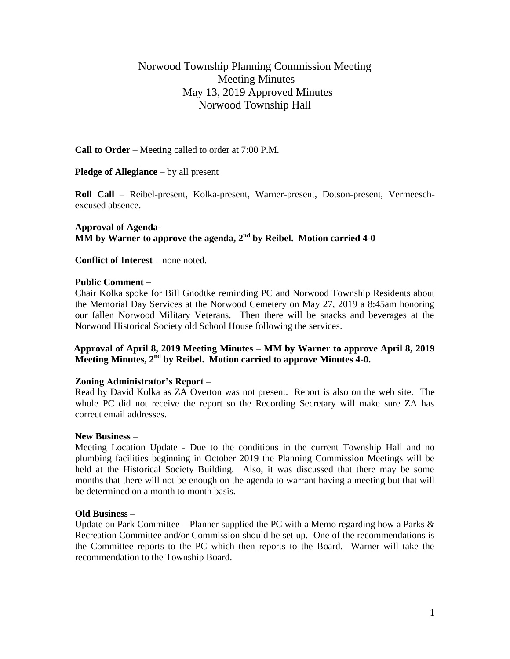# Norwood Township Planning Commission Meeting Meeting Minutes May 13, 2019 Approved Minutes Norwood Township Hall

**Call to Order** – Meeting called to order at 7:00 P.M.

**Pledge of Allegiance** – by all present

**Roll Call** – Reibel-present, Kolka-present, Warner-present, Dotson-present, Vermeeschexcused absence.

**Approval of Agenda-** $\overline{\textbf{MM}}$  by Warner to approve the agenda, 2<sup>nd</sup> by Reibel. Motion carried 4-0

**Conflict of Interest** – none noted.

#### **Public Comment –**

Chair Kolka spoke for Bill Gnodtke reminding PC and Norwood Township Residents about the Memorial Day Services at the Norwood Cemetery on May 27, 2019 a 8:45am honoring our fallen Norwood Military Veterans. Then there will be snacks and beverages at the Norwood Historical Society old School House following the services.

## **Approval of April 8, 2019 Meeting Minutes – MM by Warner to approve April 8, 2019 Meeting Minutes, 2nd by Reibel. Motion carried to approve Minutes 4-0.**

#### **Zoning Administrator's Report –**

Read by David Kolka as ZA Overton was not present. Report is also on the web site. The whole PC did not receive the report so the Recording Secretary will make sure ZA has correct email addresses.

#### **New Business –**

Meeting Location Update - Due to the conditions in the current Township Hall and no plumbing facilities beginning in October 2019 the Planning Commission Meetings will be held at the Historical Society Building. Also, it was discussed that there may be some months that there will not be enough on the agenda to warrant having a meeting but that will be determined on a month to month basis.

#### **Old Business –**

Update on Park Committee – Planner supplied the PC with a Memo regarding how a Parks  $\&$ Recreation Committee and/or Commission should be set up. One of the recommendations is the Committee reports to the PC which then reports to the Board. Warner will take the recommendation to the Township Board.